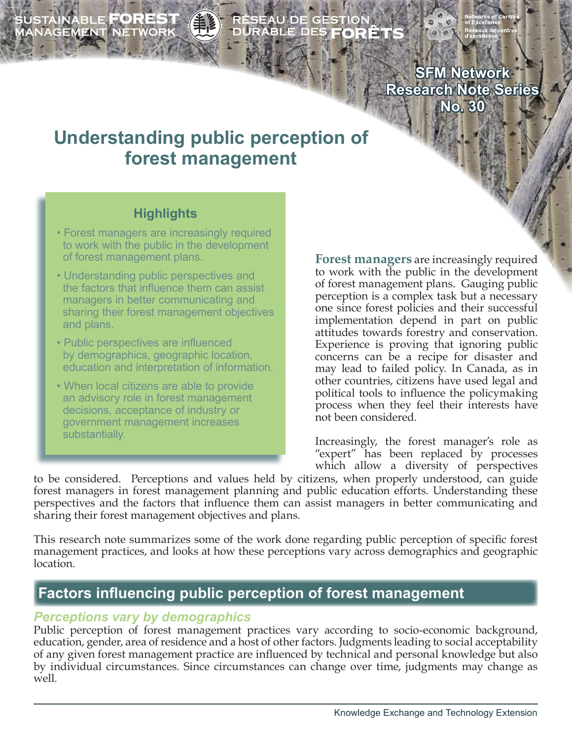SUSTAINABLE **FOREST**<br>MANAGEMENT NETWORK

# ÉSEAU DE GESTION<br>URABLE DES **FORÊT**

**SFM Network Research Note Series No. 30**

# **Understanding public perception of forest management**

### **Highlights**

- Forest managers are increasingly required to work with the public in the development of forest management plans.
- Understanding public perspectives and the factors that influence them can assist managers in better communicating and sharing their forest management objectives and plans.
- Public perspectives are influenced by demographics, geographic location, education and interpretation of information.
- When local citizens are able to provide an advisory role in forest management decisions, acceptance of industry or government management increases substantially.

**Forest managers** are increasingly required to work with the public in the development of forest management plans. Gauging public perception is a complex task but a necessary one since forest policies and their successful implementation depend in part on public attitudes towards forestry and conservation. Experience is proving that ignoring public concerns can be a recipe for disaster and may lead to failed policy. In Canada, as in other countries, citizens have used legal and political tools to influence the policymaking process when they feel their interests have not been considered.

Increasingly, the forest manager's role as "expert" has been replaced by processes which allow a diversity of perspectives

to be considered. Perceptions and values held by citizens, when properly understood, can guide forest managers in forest management planning and public education efforts. Understanding these perspectives and the factors that influence them can assist managers in better communicating and sharing their forest management objectives and plans.

This research note summarizes some of the work done regarding public perception of specific forest management practices, and looks at how these perceptions vary across demographics and geographic location.

# **Factors influencing public perception of forest management**

#### *Perceptions vary by demographics*

Public perception of forest management practices vary according to socio-economic background, education, gender, area of residence and a host of other factors. Judgments leading to social acceptability of any given forest management practice are influenced by technical and personal knowledge but also by individual circumstances. Since circumstances can change over time, judgments may change as well.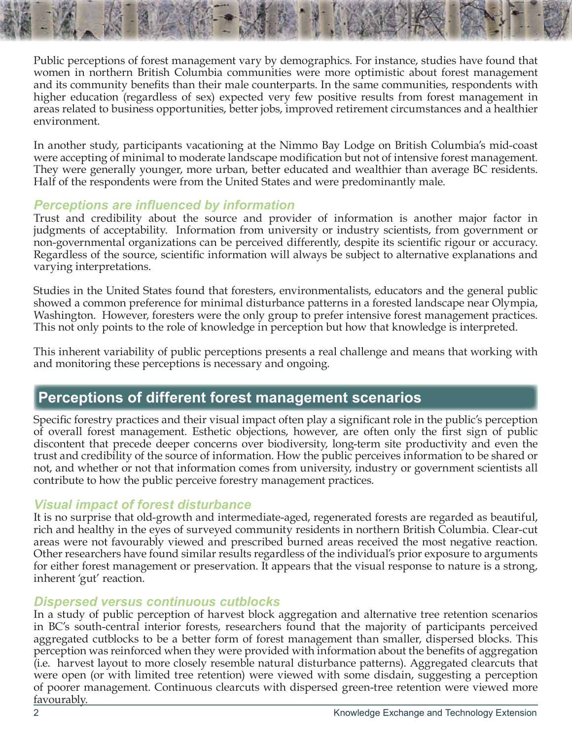Public perceptions of forest management vary by demographics. For instance, studies have found that women in northern British Columbia communities were more optimistic about forest management and its community benefits than their male counterparts. In the same communities, respondents with higher education (regardless of sex) expected very few positive results from forest management in areas related to business opportunities, better jobs, improved retirement circumstances and a healthier environment.

In another study, participants vacationing at the Nimmo Bay Lodge on British Columbia's mid-coast were accepting of minimal to moderate landscape modification but not of intensive forest management. They were generally younger, more urban, better educated and wealthier than average BC residents. Half of the respondents were from the United States and were predominantly male.

#### *Perceptions are influenced by information*

Trust and credibility about the source and provider of information is another major factor in judgments of acceptability. Information from university or industry scientists, from government or non-governmental organizations can be perceived differently, despite its scientific rigour or accuracy. Regardless of the source, scientific information will always be subject to alternative explanations and varying interpretations.

Studies in the United States found that foresters, environmentalists, educators and the general public showed a common preference for minimal disturbance patterns in a forested landscape near Olympia, Washington. However, foresters were the only group to prefer intensive forest management practices. This not only points to the role of knowledge in perception but how that knowledge is interpreted.

This inherent variability of public perceptions presents a real challenge and means that working with and monitoring these perceptions is necessary and ongoing.

# **Perceptions of different forest management scenarios**

Specific forestry practices and their visual impact often play a significant role in the public's perception of overall forest management. Esthetic objections, however, are often only the first sign of public discontent that precede deeper concerns over biodiversity, long-term site productivity and even the trust and credibility of the source of information. How the public perceives information to be shared or not, and whether or not that information comes from university, industry or government scientists all contribute to how the public perceive forestry management practices.

#### *Visual impact of forest disturbance*

It is no surprise that old-growth and intermediate-aged, regenerated forests are regarded as beautiful, rich and healthy in the eyes of surveyed community residents in northern British Columbia. Clear-cut areas were not favourably viewed and prescribed burned areas received the most negative reaction. Other researchers have found similar results regardless of the individual's prior exposure to arguments for either forest management or preservation. It appears that the visual response to nature is a strong, inherent 'gut' reaction.

#### *Dispersed versus continuous cutblocks*

In a study of public perception of harvest block aggregation and alternative tree retention scenarios in BC's south-central interior forests, researchers found that the majority of participants perceived aggregated cutblocks to be a better form of forest management than smaller, dispersed blocks. This perception was reinforced when they were provided with information about the benefits of aggregation (i.e. harvest layout to more closely resemble natural disturbance patterns). Aggregated clearcuts that were open (or with limited tree retention) were viewed with some disdain, suggesting a perception of poorer management. Continuous clearcuts with dispersed green-tree retention were viewed more favourably.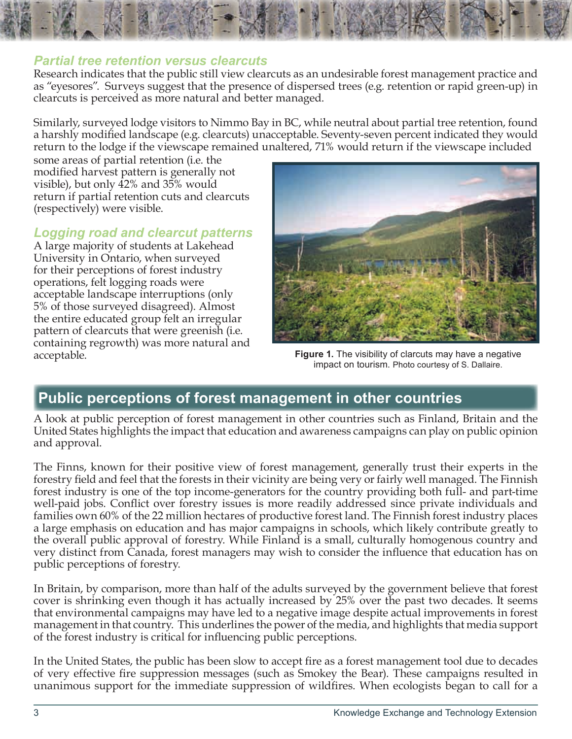#### *Partial tree retention versus clearcuts*

Research indicates that the public still view clearcuts as an undesirable forest management practice and as "eyesores". Surveys suggest that the presence of dispersed trees (e.g. retention or rapid green-up) in clearcuts is perceived as more natural and better managed.

Similarly, surveyed lodge visitors to Nimmo Bay in BC, while neutral about partial tree retention, found a harshly modified landscape (e.g. clearcuts) unacceptable. Seventy-seven percent indicated they would return to the lodge if the viewscape remained unaltered, 71% would return if the viewscape included

some areas of partial retention (i.e. the modified harvest pattern is generally not visible), but only 42% and 35% would return if partial retention cuts and clearcuts (respectively) were visible.

#### *Logging road and clearcut patterns*

A large majority of students at Lakehead University in Ontario, when surveyed for their perceptions of forest industry operations, felt logging roads were acceptable landscape interruptions (only 5% of those surveyed disagreed). Almost the entire educated group felt an irregular pattern of clearcuts that were greenish (i.e. containing regrowth) was more natural and



acceptable. **Figure 1.** The visibility of clarcuts may have a negative impact on tourism. Photo courtesy of S. Dallaire.

# **Public perceptions of forest management in other countries**

A look at public perception of forest management in other countries such as Finland, Britain and the United States highlights the impact that education and awareness campaigns can play on public opinion and approval.

The Finns, known for their positive view of forest management, generally trust their experts in the forestry field and feel that the forests in their vicinity are being very or fairly well managed. The Finnish forest industry is one of the top income-generators for the country providing both full- and part-time well-paid jobs. Conflict over forestry issues is more readily addressed since private individuals and families own 60% of the 22 million hectares of productive forest land. The Finnish forest industry places a large emphasis on education and has major campaigns in schools, which likely contribute greatly to the overall public approval of forestry. While Finland is a small, culturally homogenous country and very distinct from Canada, forest managers may wish to consider the influence that education has on public perceptions of forestry.

In Britain, by comparison, more than half of the adults surveyed by the government believe that forest cover is shrinking even though it has actually increased by 25% over the past two decades. It seems that environmental campaigns may have led to a negative image despite actual improvements in forest management in that country. This underlines the power of the media, and highlights that media support of the forest industry is critical for influencing public perceptions.

In the United States, the public has been slow to accept fire as a forest management tool due to decades of very effective fire suppression messages (such as Smokey the Bear). These campaigns resulted in unanimous support for the immediate suppression of wildfires. When ecologists began to call for a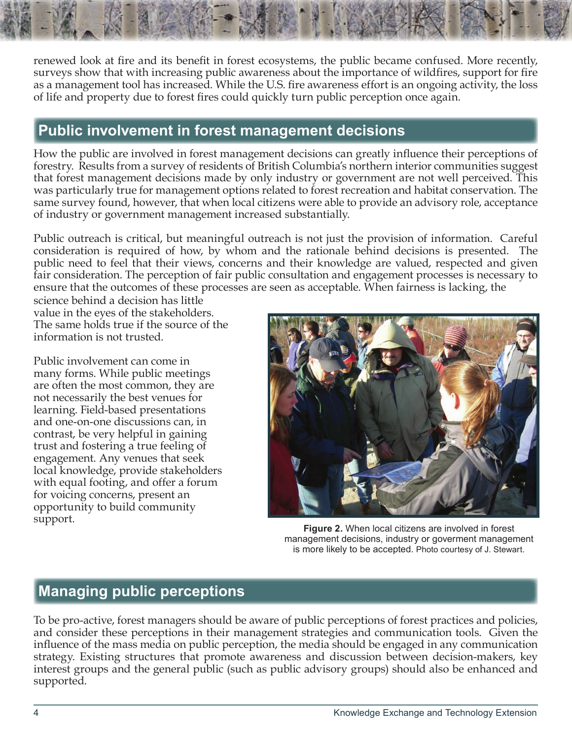renewed look at fire and its benefit in forest ecosystems, the public became confused. More recently, surveys show that with increasing public awareness about the importance of wildfires, support for fire as a management tool has increased. While the U.S. fire awareness effort is an ongoing activity, the loss of life and property due to forest fires could quickly turn public perception once again.

# **Public involvement in forest management decisions**

How the public are involved in forest management decisions can greatly influence their perceptions of forestry. Results from a survey of residents of British Columbia's northern interior communities suggest that forest management decisions made by only industry or government are not well perceived. This was particularly true for management options related to forest recreation and habitat conservation. The same survey found, however, that when local citizens were able to provide an advisory role, acceptance of industry or government management increased substantially.

Public outreach is critical, but meaningful outreach is not just the provision of information. Careful consideration is required of how, by whom and the rationale behind decisions is presented. The public need to feel that their views, concerns and their knowledge are valued, respected and given fair consideration. The perception of fair public consultation and engagement processes is necessary to ensure that the outcomes of these processes are seen as acceptable. When fairness is lacking, the

science behind a decision has little value in the eyes of the stakeholders. The same holds true if the source of the information is not trusted.

Public involvement can come in many forms. While public meetings are often the most common, they are not necessarily the best venues for learning. Field-based presentations and one-on-one discussions can, in contrast, be very helpful in gaining trust and fostering a true feeling of engagement. Any venues that seek local knowledge, provide stakeholders with equal footing, and offer a forum for voicing concerns, present an opportunity to build community



support. **Figure 2.** When local citizens are involved in forest management decisions, industry or goverment management is more likely to be accepted. Photo courtesy of J. Stewart.

# **Managing public perceptions**

To be pro-active, forest managers should be aware of public perceptions of forest practices and policies, and consider these perceptions in their management strategies and communication tools. Given the influence of the mass media on public perception, the media should be engaged in any communication strategy. Existing structures that promote awareness and discussion between decision-makers, key interest groups and the general public (such as public advisory groups) should also be enhanced and supported.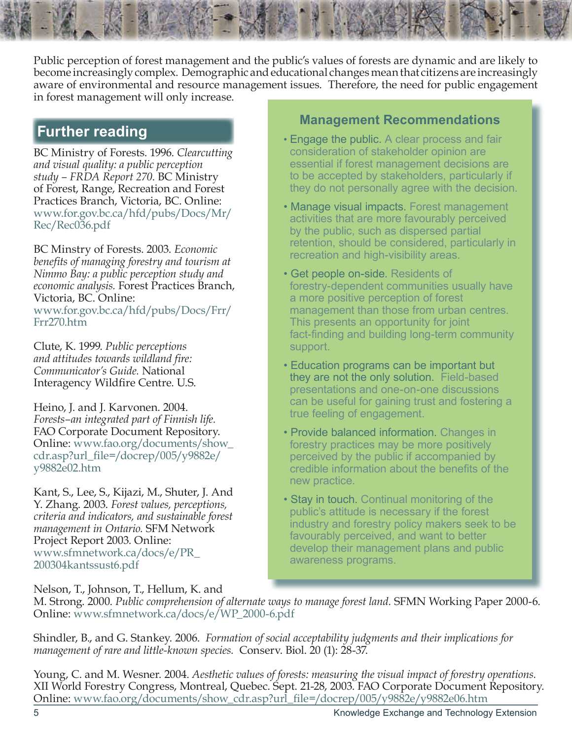Public perception of forest management and the public's values of forests are dynamic and are likely to become increasingly complex. Demographic and educational changes mean that citizens are increasingly aware of environmental and resource management issues. Therefore, the need for public engagement in forest management will only increase.

BC Ministry of Forests. 1996. *Clearcutting and visual quality: a public perception study – FRDA Report 270*. BC Ministry of Forest, Range, Recreation and Forest Practices Branch, Victoria, BC. Online: [www.for.gov.bc.ca/hfd/pubs/Docs/Mr/](www.for.gov.bc.ca/hfd/pubs/Docs/Mr/Rec/Rec036.pdf ) [Rec/Rec036.pdf](www.for.gov.bc.ca/hfd/pubs/Docs/Mr/Rec/Rec036.pdf )

BC Minstry of Forests. 2003. *Economic benefits of managing forestry and tourism at Nimmo Bay: a public perception study and economic analysis.* Forest Practices Branch, Victoria, BC. Online: [www.for.gov.bc.ca/hfd/pubs/Docs/Frr/](www.for.gov.bc.ca/hfd/pubs/Docs/Frr/Frr270.htm) [Frr270.htm](www.for.gov.bc.ca/hfd/pubs/Docs/Frr/Frr270.htm)

Clute, K. 1999. *Public perceptions and attitudes towards wildland fire: Communicator's Guide.* National Interagency Wildfire Centre. U.S.

Heino, J. and J. Karvonen. 2004. *Forests–an integrated part of Finnish life.*  FAO Corporate Document Repository. Online: [www.fao.org/documents/show\\_](http://www.fao.org/documents/show_cdr.asp?url_file=/docrep/005/y9882e/y9882e02.htm) [cdr.asp?url\\_file=/docrep/005/y9882e/](http://www.fao.org/documents/show_cdr.asp?url_file=/docrep/005/y9882e/y9882e02.htm) [y9882e02.htm](http://www.fao.org/documents/show_cdr.asp?url_file=/docrep/005/y9882e/y9882e02.htm)

Kant, S., Lee, S., Kijazi, M., Shuter, J. And Y. Zhang. 2003. *Forest values, perceptions, criteria and indicators, and sustainable forest management in Ontario.* SFM Network Project Report 2003. Online: [www.sfmnetwork.ca/docs/e/PR\\_](www.sfmnetwork.ca/docs/e/PR_200304kantssust6.pdf) [200304kantssust6.pdf](www.sfmnetwork.ca/docs/e/PR_200304kantssust6.pdf)

# **Further reading <b>Management Recommendations**

- Engage the public. A clear process and fair consideration of stakeholder opinion are essential if forest management decisions are to be accepted by stakeholders, particularly if they do not personally agree with the decision.
- Manage visual impacts. Forest management activities that are more favourably perceived by the public, such as dispersed partial retention, should be considered, particularly in recreation and high-visibility areas.
- Get people on-side. Residents of forestry-dependent communities usually have a more positive perception of forest management than those from urban centres. This presents an opportunity for joint fact-finding and building long-term community support.
- Education programs can be important but they are not the only solution. Field-based presentations and one-on-one discussions can be useful for gaining trust and fostering a true feeling of engagement.
- Provide balanced information. Changes in forestry practices may be more positively perceived by the public if accompanied by credible information about the benefits of the new practice.
- Stay in touch. Continual monitoring of the public's attitude is necessary if the forest industry and forestry policy makers seek to be favourably perceived, and want to better develop their management plans and public awareness programs.

Nelson, T., Johnson, T., Hellum, K. and

M. Strong. 2000. *Public comprehension of alternate ways to manage forest land.* SFMN Working Paper 2000-6. Online: [www.sfmnetwork.ca/docs/e/WP\\_2000-6.pdf](www.sfmnetwork.ca/docs/e/WP_2000-6.pdf )

Shindler, B., and G. Stankey. 2006. *Formation of social acceptability judgments and their implications for management of rare and little-known species.* Conserv. Biol. 20 (1): 28-37.

Young, C. and M. Wesner. 2004. *Aesthetic values of forests: measuring the visual impact of forestry operations.* XII World Forestry Congress, Montreal, Quebec. Sept. 21-28, 2003. FAO Corporate Document Repository. Online: [www.fao.org/documents/show\\_cdr.asp?url\\_file=/docrep/005/y9882e/y9882e06.htm](www.fao.org/documents/show_cdr.asp?url_file=/docrep/005/y9882e/y9882e06.htm)